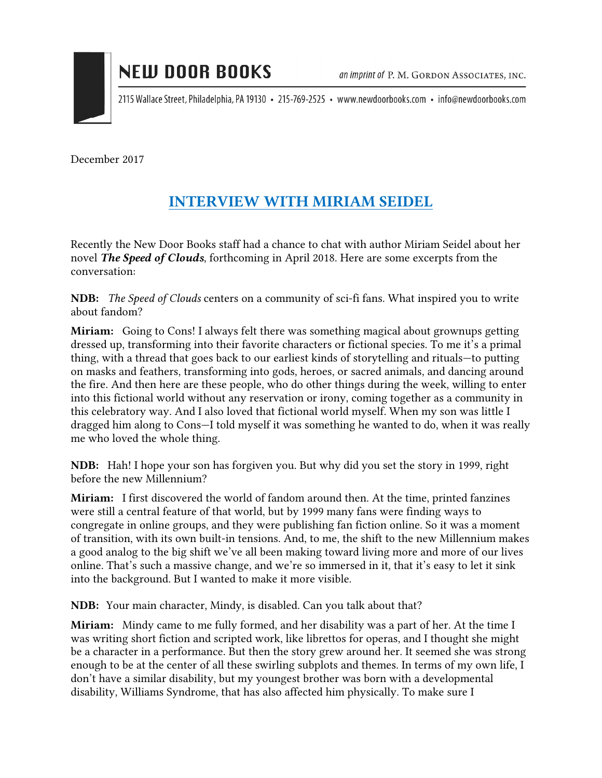

2115 Wallace Street, Philadelphia, PA 19130 • 215-769-2525 • www.newdoorbooks.com • info@newdoorbooks.com

December 2017

## INTERVIEW WITH MIRIAM SEIDEL

Recently the New Door Books staff had a chance to chat with author Miriam Seidel about her novel *The Speed of Clouds*, forthcoming in April 2018. Here are some excerpts from the conversation:

NDB: *The Speed of Clouds* centers on a community of sci-fi fans. What inspired you to write about fandom?

Miriam: Going to Cons! I always felt there was something magical about grownups getting dressed up, transforming into their favorite characters or fictional species. To me it's a primal thing, with a thread that goes back to our earliest kinds of storytelling and rituals—to putting on masks and feathers, transforming into gods, heroes, or sacred animals, and dancing around the fire. And then here are these people, who do other things during the week, willing to enter into this fictional world without any reservation or irony, coming together as a community in this celebratory way. And I also loved that fictional world myself. When my son was little I dragged him along to Cons—I told myself it was something he wanted to do, when it was really me who loved the whole thing.

NDB: Hah! I hope your son has forgiven you. But why did you set the story in 1999, right before the new Millennium?

Miriam: I first discovered the world of fandom around then. At the time, printed fanzines were still a central feature of that world, but by 1999 many fans were finding ways to congregate in online groups, and they were publishing fan fiction online. So it was a moment of transition, with its own built-in tensions. And, to me, the shift to the new Millennium makes a good analog to the big shift we've all been making toward living more and more of our lives online. That's such a massive change, and we're so immersed in it, that it's easy to let it sink into the background. But I wanted to make it more visible.

NDB: Your main character, Mindy, is disabled. Can you talk about that?

Miriam: Mindy came to me fully formed, and her disability was a part of her. At the time I was writing short fiction and scripted work, like librettos for operas, and I thought she might be a character in a performance. But then the story grew around her. It seemed she was strong enough to be at the center of all these swirling subplots and themes. In terms of my own life, I don't have a similar disability, but my youngest brother was born with a developmental disability, Williams Syndrome, that has also affected him physically. To make sure I